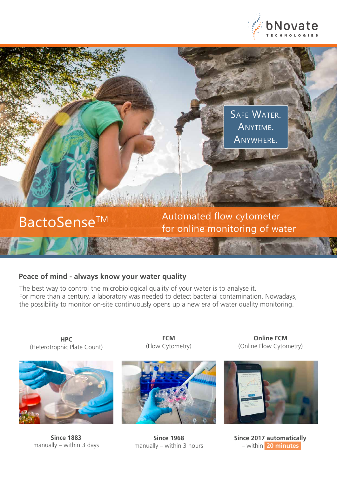

SAFE WATER. Anytime. Anywhere.

BactoSense<sup>TM</sup> Automated flow cytometer<br>for online monitoring of water

# **Peace of mind - always know your water quality**

The best way to control the microbiological quality of your water is to analyse it. For more than a century, a laboratory was needed to detect bacterial contamination. Nowadays, the possibility to monitor on-site continuously opens up a new era of water quality monitoring.

**HPC** (Heterotrophic Plate Count)



**Since 1883** manually – within 3 days

**FCM** (Flow Cytometry)



**Since 1968** manually – within 3 hours

**Online FCM** (Online Flow Cytometry)



**Since 2017 automatically**  – within **20 minutes**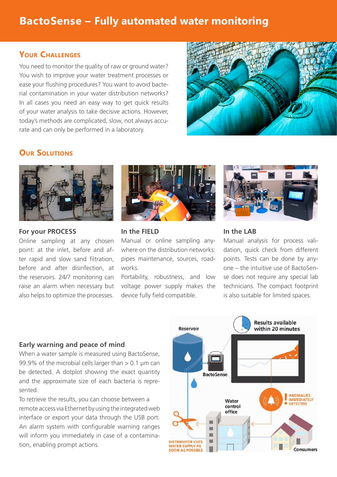# **BactoSense – Fully automated water monitoring**

## **Your Challenges**

You need to monitor the quality of raw or ground water? You wish to improve your water treatment processes or ease your flushing procedures? You want to avoid bacterial contamination in your water distribution networks? In all cases you need an easy way to get quick results of your water analysis to take decisive actions. However, today's methods are complicated, slow, not always accurate and can only be performed in a laboratory.



# **Our Solutions**



#### **For your PROCESS**

Online sampling at any chosen point: at the inlet, before and after rapid and slow sand filtration, before and after disinfection, at the reservoirs. 24/7 monitoring can raise an alarm when necessary but also helps to optimize the processes.



#### **In the FIELD**

Manual or online sampling anywhere on the distribution networks: pipes maintenance, sources, roadworks.

Portability, robustness, and low voltage power supply makes the device fully field compatible.



#### **In the LAB**

Manual analysis for process validation, quick check from different points. Tests can be done by anyone – the intuitive use of BactoSense does not require any special lab technicians. The compact footprint is also suitable for limited spaces.

#### **Early warning and peace of mind**

When a water sample is measured using BactoSense, 99.9% of the microbial cells larger than > 0.1 μm can be detected. A dotplot showing the exact quantity and the approximate size of each bacteria is represented.

To retrieve the results, you can choose between a remote access via Ethernet by using the integrated web interface or export your data through the USB port. An alarm system with configurable warning ranges will inform you immediately in case of a contamination, enabling prompt actions.

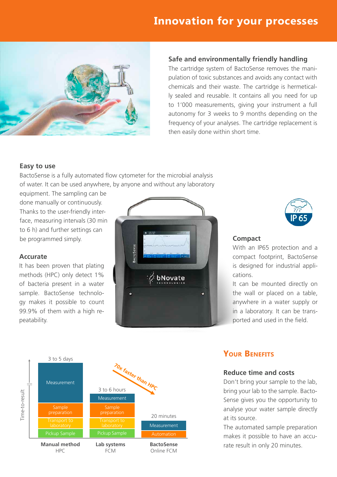# **Innovation for your processes**



#### **Safe and environmentally friendly handling**

The cartridge system of BactoSense removes the manipulation of toxic substances and avoids any contact with chemicals and their waste. The cartridge is hermetically sealed and reusable. It contains all you need for up to 1'000 measurements, giving your instrument a full autonomy for 3 weeks to 9 months depending on the frequency of your analyses. The cartridge replacement is then easily done within short time.

#### **Easy to use**

BactoSense is a fully automated flow cytometer for the microbial analysis of water. It can be used anywhere, by anyone and without any laboratory

equipment. The sampling can be done manually or continuously. Thanks to the user-friendly interface, measuring intervals (30 min to 6 h) and further settings can be programmed simply.

#### **Accurate**

It has been proven that plating methods (HPC) only detect 1% of bacteria present in a water sample. BactoSense technology makes it possible to count 99.9% of them with a high repeatability.

HPC





FCM

Online FCM

With an IP65 protection and a compact footprint, BactoSense is designed for industrial applications.

It can be mounted directly on the wall or placed on a table, anywhere in a water supply or in a laboratory. It can be transported and used in the field.

# **Your Benefits**

**Compact**

#### **Reduce time and costs**

Don't bring your sample to the lab, bring your lab to the sample. Bacto-Sense gives you the opportunity to analyse your water sample directly at its source.

The automated sample preparation makes it possible to have an accurate result in only 20 minutes.